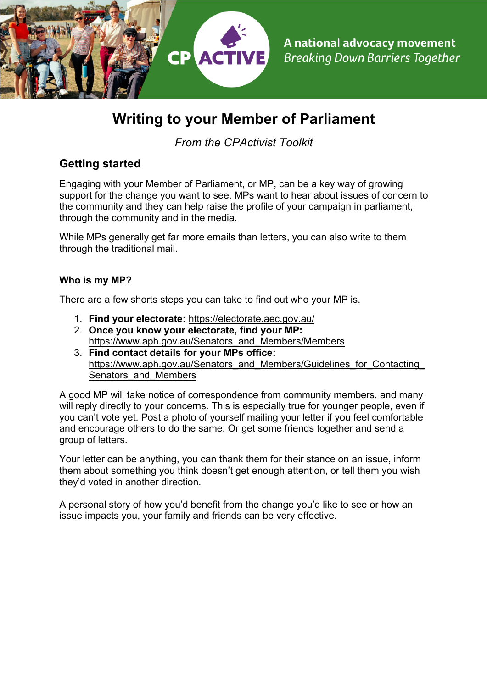

# **Writing to your Member of Parliament**

*From the CPActivist Toolkit*

## **Getting started**

Engaging with your Member of Parliament, or MP, can be a key way of growing support for the change you want to see. MPs want to hear about issues of concern to the community and they can help raise the profile of your campaign in parliament, through the community and in the media.

While MPs generally get far more emails than letters, you can also write to them through the traditional mail.

### **Who is my MP?**

There are a few shorts steps you can take to find out who your MP is.

- 1. **Find your electorate:** https://electorate.aec.gov.au/
- 2. **Once you know your electorate, find your MP:**  https://www.aph.gov.au/Senators\_and\_Members/Members
- 3. **Find contact details for your MPs office:**  https://www.aph.gov.au/Senators\_and\_Members/Guidelines\_for\_Contacting Senators and Members

A good MP will take notice of correspondence from community members, and many will reply directly to your concerns. This is especially true for younger people, even if you can't vote yet. Post a photo of yourself mailing your letter if you feel comfortable and encourage others to do the same. Or get some friends together and send a group of letters.

Your letter can be anything, you can thank them for their stance on an issue, inform them about something you think doesn't get enough attention, or tell them you wish they'd voted in another direction.

A personal story of how you'd benefit from the change you'd like to see or how an issue impacts you, your family and friends can be very effective.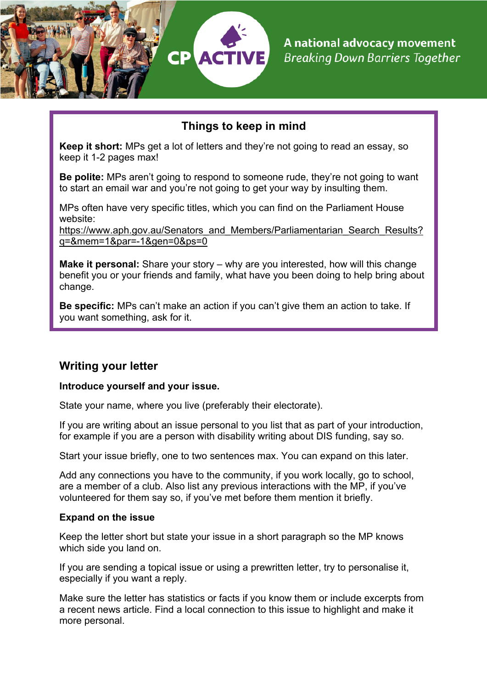

## **Things to keep in mind**

**Keep it short:** MPs get a lot of letters and they're not going to read an essay, so keep it 1-2 pages max!

**Be polite:** MPs aren't going to respond to someone rude, they're not going to want to start an email war and you're not going to get your way by insulting them.

MPs often have very specific titles, which you can find on the Parliament House website:

https://www.aph.gov.au/Senators\_and\_Members/Parliamentarian\_Search\_Results? q=&mem=1&par=-1&gen=0&ps=0

**Make it personal:** Share your story – why are you interested, how will this change benefit you or your friends and family, what have you been doing to help bring about change.

**Be specific:** MPs can't make an action if you can't give them an action to take. If you want something, ask for it.

## **Writing your letter**

#### **Introduce yourself and your issue.**

State your name, where you live (preferably their electorate).

If you are writing about an issue personal to you list that as part of your introduction, for example if you are a person with disability writing about DIS funding, say so.

Start your issue briefly, one to two sentences max. You can expand on this later.

Add any connections you have to the community, if you work locally, go to school, are a member of a club. Also list any previous interactions with the MP, if you've volunteered for them say so, if you've met before them mention it briefly.

#### **Expand on the issue**

Keep the letter short but state your issue in a short paragraph so the MP knows which side you land on.

If you are sending a topical issue or using a prewritten letter, try to personalise it, especially if you want a reply.

Make sure the letter has statistics or facts if you know them or include excerpts from a recent news article. Find a local connection to this issue to highlight and make it more personal.